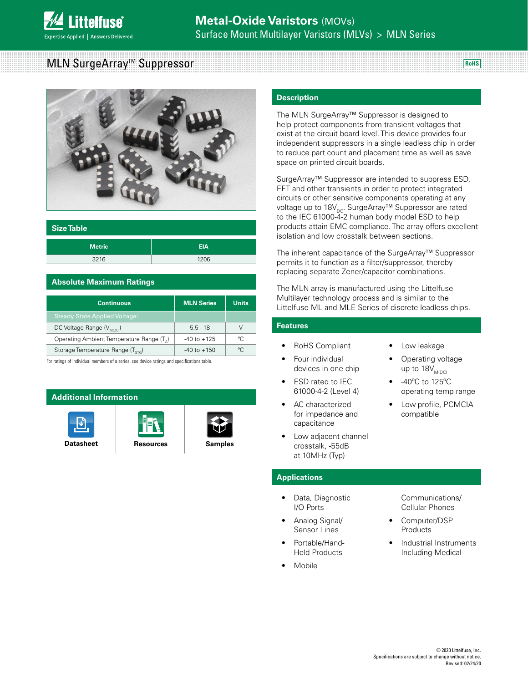

# MLN SurgeArray<sup>™</sup> Suppressor **ROMS** Remis



| Size Table    |            |  |  |  |
|---------------|------------|--|--|--|
| <b>Metric</b> | <b>EIA</b> |  |  |  |
| 3216          | 1206       |  |  |  |

## **Absolute Maximum Ratings**

| <b>Continuous</b>                                     | <b>MLN Series</b> | <b>Units</b> |  |
|-------------------------------------------------------|-------------------|--------------|--|
| <b>Steady State Applied Voltage:</b>                  |                   |              |  |
| DC Voltage Range (V <sub>MIDCI</sub> )                | $5.5 - 18$        |              |  |
| Operating Ambient Temperature Range (T <sub>^</sub> ) | $-40$ to $+125$   | $^{\circ}$   |  |
| Storage Temperature Range (T <sub>crc</sub> )         | $-40$ to $+150$   | °∩           |  |

For ratings of individual members of a series, see device ratings and specifications table.

## **Additional Information**







**Description**

The MLN SurgeArray™ Suppressor is designed to help protect components from transient voltages that exist at the circuit board level. This device provides four independent suppressors in a single leadless chip in order to reduce part count and placement time as well as save space on printed circuit boards.

SurgeArray™ Suppressor are intended to suppress ESD, EFT and other transients in order to protect integrated circuits or other sensitive components operating at any voltage up to 18V<sub>DC</sub>. SurgeArray™ Suppressor are rated to the IEC 61000-4-2 human body model ESD to help products attain EMC compliance. The array offers excellent isolation and low crosstalk between sections.

The inherent capacitance of the SurgeArray™ Suppressor permits it to function as a filter/suppressor, thereby replacing separate Zener/capacitor combinations.

The MLN array is manufactured using the Littelfuse Multilayer technology process and is similar to the Littelfuse ML and MLE Series of discrete leadless chips.

#### **Features**

- RoHS Compliant
- Four individual devices in one chip
- ESD rated to IEC 61000-4-2 (Level 4)
- AC characterized for impedance and capacitance
- Low adjacent channel crosstalk, -55dB at 10MHz (Typ)

#### • Operating voltage

Low leakage

- up to  $18V_{M(DC)}$ • -40ºC to 125ºC
- operating temp range
- Low-profile, PCMCIA compatible

#### **Applications**

- Data, Diagnostic I/O Ports
- Analog Signal/ Sensor Lines
- Portable/Hand-Held Products
- **Mobile**

Communications/ Cellular Phones

- Computer/DSP Products
- Industrial Instruments Including Medical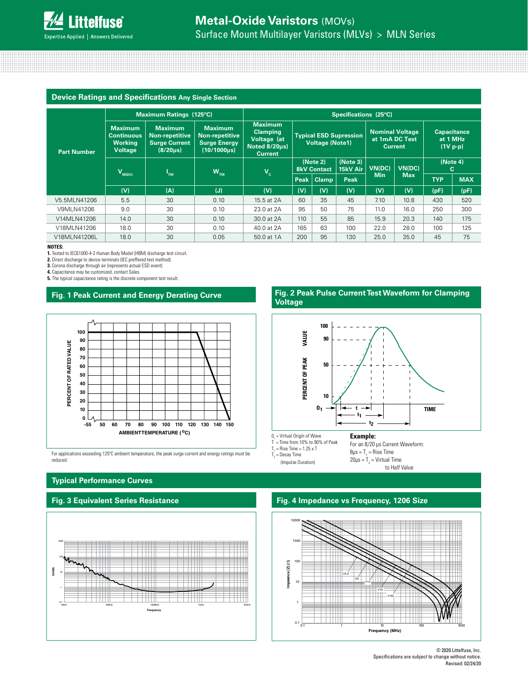| <b>Device Ratings and Specifications Any Single Section</b> |                                                           |                                                                                  |                                                                               |                                                                                     |                                                                                                                       |              |                      |                                              |                |            |            |
|-------------------------------------------------------------|-----------------------------------------------------------|----------------------------------------------------------------------------------|-------------------------------------------------------------------------------|-------------------------------------------------------------------------------------|-----------------------------------------------------------------------------------------------------------------------|--------------|----------------------|----------------------------------------------|----------------|------------|------------|
|                                                             | <b>Maximum Ratings (125°C)</b>                            |                                                                                  |                                                                               | Specifications (25°C)                                                               |                                                                                                                       |              |                      |                                              |                |            |            |
| <b>Part Number</b>                                          | <b>Maximum</b><br><b>Continuous</b><br>Working<br>Voltage | <b>Maximum</b><br><b>Non-repetitive</b><br><b>Surge Current</b><br>$(8/20\mu s)$ | <b>Maximum</b><br><b>Non-repetitive</b><br><b>Surge Energy</b><br>(10/1000µs) | <b>Maximum</b><br><b>Clamping</b><br>Voltage (at<br>Noted 8/20µs)<br><b>Current</b> | <b>Nominal Voltage</b><br><b>Typical ESD Supression</b><br>at 1mA DC Test<br><b>Voltage (Note1)</b><br><b>Current</b> |              |                      | <b>Capacitance</b><br>at 1 MHz<br>$(1V p-p)$ |                |            |            |
|                                                             | $V_{M(DC)}$<br>$I_{TM}$                                   |                                                                                  | $W_{TM}$                                                                      | $V_c$                                                                               | (Note 2)<br><b>8kV Contact</b>                                                                                        |              | (Note 3)<br>15kV Air | VN(DC)<br>VN(DC)                             | (Note 4)<br>C. |            |            |
|                                                             |                                                           |                                                                                  |                                                                               |                                                                                     | Peak                                                                                                                  | <b>Clamp</b> | Peak                 | <b>Min</b>                                   | <b>Max</b>     | <b>TYP</b> | <b>MAX</b> |
|                                                             | (V)                                                       | (A)                                                                              | (J)                                                                           | (V)                                                                                 | (V)                                                                                                                   | (V)          | (V)                  | (V)                                          | (V)            | (pF)       | (pF)       |
| V5.5MLN41206                                                | 5.5                                                       | 30                                                                               | 0.10                                                                          | 15.5 at 2A                                                                          | 60                                                                                                                    | 35           | 45                   | 7.10                                         | 10.8           | 430        | 520        |
| V9MLN41206                                                  | 9.0                                                       | 30                                                                               | 0.10                                                                          | 23.0 at 2A                                                                          | 95                                                                                                                    | 50           | 75                   | 11.0                                         | 16.0           | 250        | 300        |
| V14MLN41206                                                 | 14.0                                                      | 30                                                                               | 0.10                                                                          | 30.0 at 2A                                                                          | 110                                                                                                                   | 55           | 85                   | 15.9                                         | 20.3           | 140        | 175        |
| V18MLN41206                                                 | 18.0                                                      | 30                                                                               | 0.10                                                                          | 40.0 at 2A                                                                          | 165                                                                                                                   | 63           | 100                  | 22.0                                         | 28.0           | 100        | 125        |
| V18MLN41206L                                                | 18.0                                                      | 30                                                                               | 0.05                                                                          | 50.0 at 1A                                                                          | 200                                                                                                                   | 95           | 130                  | 25.0                                         | 35.0           | 45         | 75         |

#### **NOTES:**

**1.** Tested to IEC61000-4-2 Human Body Model (HBM) discharge test circuit. **2.** Direct discharge to device terminals (IEC preffered test method).

**3.** Corona discharge through air (represents actual ESD event)

**4.** Capacitance may be customized, contact Sales.

**5.** The typical capacitance rating is the discrete component test result.

#### **Fig. 1 Peak Current and Energy Derating Curve**



For applications exceeding 125ºC ambient temperature, the peak surge current and energy ratings must be **70** reduced. **65**

# **Fig. 2 Peak Pulse Current Test Waveform for Clamping Voltage**



**t1 =** Virtual front time = 1.25 x t **t =** Time from 10% to 90% of peak

**t2 =** Virtual time to half value (Impulse duration)

0<sub>1</sub> = Virtual Origin of Wave

 $T =$  Time from 10% to 90% of Peak

 $T_1$  = Rise Time = 1.25 x T

 $T_{2}$  = Decay Time (Impulse Duration) For an 8/20 µs Current Waveform:  $8\mu s = T_1 =$  Rise Time

 $20 \mu s = T<sub>2</sub> = Virtual Time$ to Half Value

#### **60 55 Typical Performance Curves CAPACITANCE (pF)**





#### **Fig. 4 Impedance vs Frequency, 1206 Size**



<sup>© 2020</sup> Littelfuse, Inc. Specifications are subject to change without notice. Revised: 02/24/20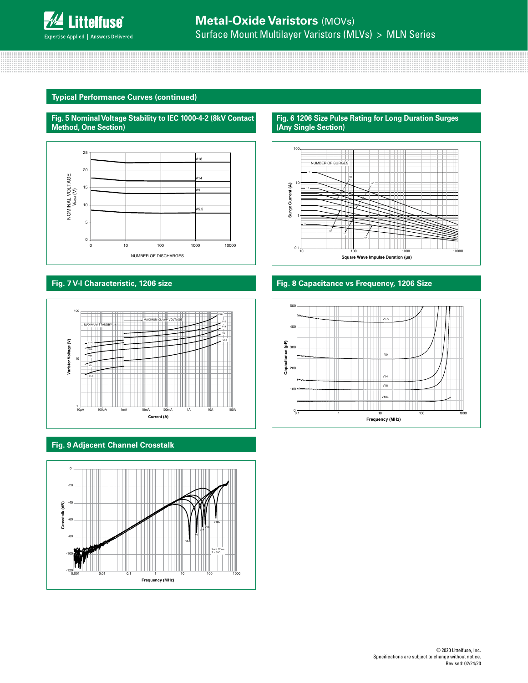

#### **Typical Performance Curves (continued)**





**(8kV CONTACT METHOD, ONE SECTION)**

## **Fig. 7 V-I Characteristic, 1206 size**



#### **Fig. 9 Adjacent Channel Crosstalk**



#### **Fig. 6 1206 Size Pulse Rating for Long Duration Surges (Any Single Section)**



#### **Fig. 8 Capacitance vs Frequency, 1206 Size**

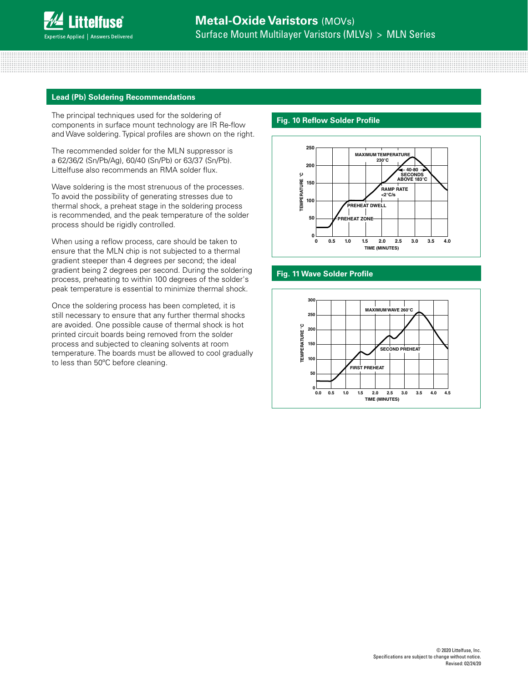#### **Lead (Pb) Soldering Recommendations**

The principal techniques used for the soldering of components in surface mount technology are IR Re-flow and Wave soldering. Typical profiles are shown on the right.

The recommended solder for the MLN suppressor is a 62/36/2 (Sn/Pb/Ag), 60/40 (Sn/Pb) or 63/37 (Sn/Pb). Littelfuse also recommends an RMA solder flux.

Wave soldering is the most strenuous of the processes. To avoid the possibility of generating stresses due to thermal shock, a preheat stage in the soldering process is recommended, and the peak temperature of the solder process should be rigidly controlled.

When using a reflow process, care should be taken to ensure that the MLN chip is not subjected to a thermal gradient steeper than 4 degrees per second; the ideal gradient being 2 degrees per second. During the soldering process, preheating to within 100 degrees of the solder's peak temperature is essential to minimize thermal shock.

Once the soldering process has been completed, it is still necessary to ensure that any further thermal shocks are avoided. One possible cause of thermal shock is hot printed circuit boards being removed from the solder process and subjected to cleaning solvents at room temperature. The boards must be allowed to cool gradually to less than 50ºC before cleaning.

#### **Fig. 10 Reflow Solder Profile**



#### **Fig. 11 Wave Solder Profile**

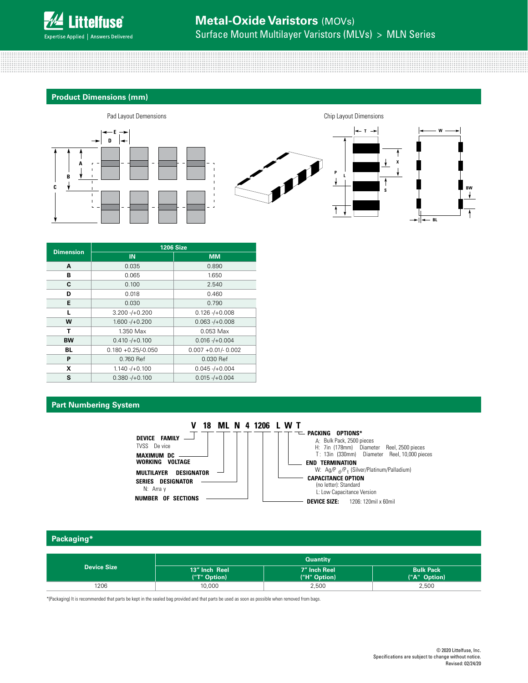

**Product Dimensions (mm)**



| <b>Dimension</b>        | <b>1206 Size</b>      |                        |  |  |  |  |
|-------------------------|-----------------------|------------------------|--|--|--|--|
|                         | <b>IN</b>             | <b>MM</b>              |  |  |  |  |
| A                       | 0.035                 | 0.890                  |  |  |  |  |
| В                       | 0.065                 | 1.650                  |  |  |  |  |
| C                       | 0.100                 | 2.540                  |  |  |  |  |
| D                       | 0.018                 | 0.460                  |  |  |  |  |
| E                       | 0.030                 | 0.790                  |  |  |  |  |
| L<br>$3.200 - (+0.200)$ |                       | $0.126 - +0.008$       |  |  |  |  |
| W                       | $1.600 - (+0.200)$    | $0.063 - +0.008$       |  |  |  |  |
| т                       | 1.350 Max             | 0.053 Max              |  |  |  |  |
| <b>BW</b>               | $0.410 - (+0.100)$    | $0.016 - +0.004$       |  |  |  |  |
| BL                      | $0.180 + 0.25/-0.050$ | $0.007 + 0.01/- 0.002$ |  |  |  |  |
| P                       | 0.760 Ref             | 0.030 Ref              |  |  |  |  |
| X                       | $1.140 - (+0.100)$    | $0.045 - 1 + 0.004$    |  |  |  |  |
| S                       | $0.380 - +0.100$      | $0.015 - +0.004$       |  |  |  |  |

#### **Part Numbering System**



#### **Packaging\***

| <b>Device Size</b> | <b>Quantity</b>               |                              |                                  |  |  |
|--------------------|-------------------------------|------------------------------|----------------------------------|--|--|
|                    | 13" Inch Reel<br>("T" Option) | 7" Inch Reel<br>("H" Option) | <b>Bulk Pack</b><br>("A" Option) |  |  |
| 1206               | 10,000                        | 2,500                        | 2,500                            |  |  |

\*(Packaging) It is recommended that parts be kept in the sealed bag provided and that parts be used as soon as possible when removed from bags.